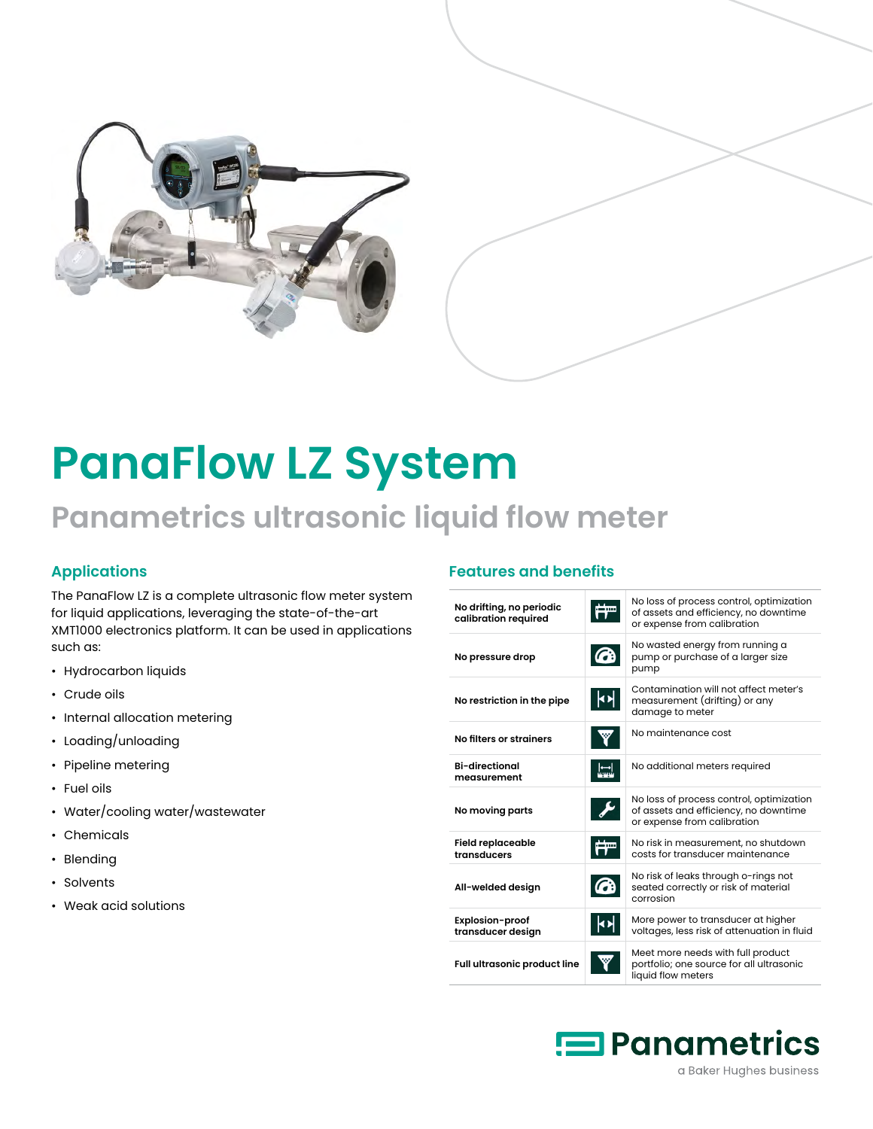

# **PanaFlow LZ System**

## **Panametrics ultrasonic liquid flow meter**

#### **Applications**

The PanaFlow LZ is a complete ultrasonic flow meter system for liquid applications, leveraging the state-of-the-art XMT1000 electronics platform. It can be used in applications such as:

- Hydrocarbon liquids
- Crude oils
- Internal allocation metering
- Loading/unloading
- Pipeline metering
- Fuel oils
- Water/cooling water/wastewater
- Chemicals
- Blending
- Solvents
- Weak acid solutions

#### **Features and benefits**

| No drifting, no periodic<br>calibration required |                       | No loss of process control, optimization<br>of assets and efficiency, no downtime<br>or expense from calibration |
|--------------------------------------------------|-----------------------|------------------------------------------------------------------------------------------------------------------|
| No pressure drop                                 |                       | No wasted energy from running a<br>pump or purchase of a larger size<br>pump                                     |
| No restriction in the pipe                       | $\blacktriangleright$ | Contamination will not affect meter's<br>measurement (drifting) or any<br>damage to meter                        |
| No filters or strainers                          |                       | No maintenance cost                                                                                              |
| <b>Bi-directional</b><br>measurement             |                       | No additional meters required                                                                                    |
| No moving parts                                  |                       | No loss of process control, optimization<br>of assets and efficiency, no downtime<br>or expense from calibration |
| <b>Field replaceable</b><br>transducers          |                       | No risk in measurement, no shutdown<br>costs for transducer maintenance                                          |
| All-welded design                                |                       | No risk of leaks through o-rings not<br>seated correctly or risk of material<br>corrosion                        |
| <b>Explosion-proof</b><br>transducer design      |                       | More power to transducer at higher<br>voltages, less risk of attenuation in fluid                                |
| Full ultrasonic product line                     |                       | Meet more needs with full product<br>portfolio; one source for all ultrasonic<br>liquid flow meters              |

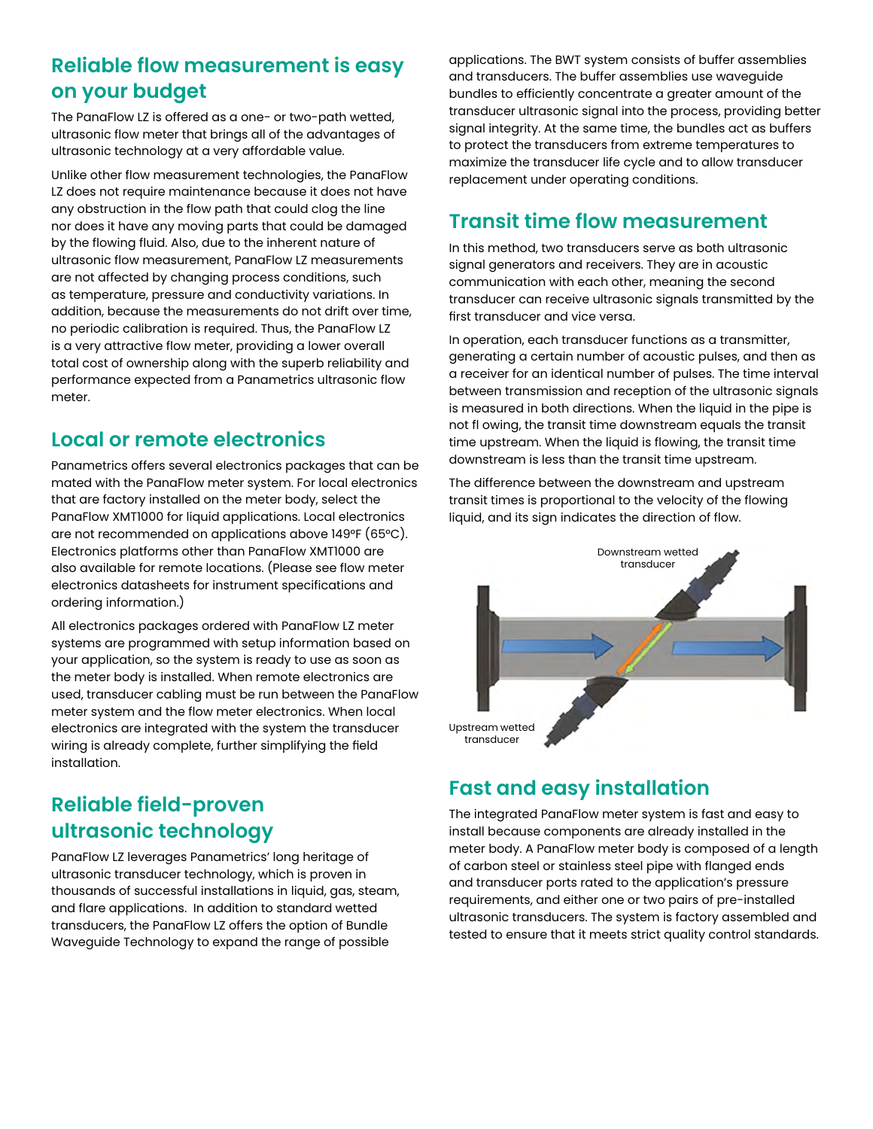## **Reliable flow measurement is easy on your budget**

The PanaFlow LZ is offered as a one- or two-path wetted, ultrasonic flow meter that brings all of the advantages of ultrasonic technology at a very affordable value.

Unlike other flow measurement technologies, the PanaFlow LZ does not require maintenance because it does not have any obstruction in the flow path that could clog the line nor does it have any moving parts that could be damaged by the flowing fluid. Also, due to the inherent nature of ultrasonic flow measurement, PanaFlow LZ measurements are not affected by changing process conditions, such as temperature, pressure and conductivity variations. In addition, because the measurements do not drift over time, no periodic calibration is required. Thus, the PanaFlow LZ is a very attractive flow meter, providing a lower overall total cost of ownership along with the superb reliability and performance expected from a Panametrics ultrasonic flow meter.

### **Local or remote electronics**

Panametrics offers several electronics packages that can be mated with the PanaFlow meter system. For local electronics that are factory installed on the meter body, select the PanaFlow XMT1000 for liquid applications. Local electronics are not recommended on applications above 149°F (65°C). Electronics platforms other than PanaFlow XMT1000 are also available for remote locations. (Please see flow meter electronics datasheets for instrument specifications and ordering information.)

All electronics packages ordered with PanaFlow LZ meter systems are programmed with setup information based on your application, so the system is ready to use as soon as the meter body is installed. When remote electronics are used, transducer cabling must be run between the PanaFlow meter system and the flow meter electronics. When local electronics are integrated with the system the transducer wiring is already complete, further simplifying the field installation.

## **Reliable field-proven ultrasonic technology**

PanaFlow LZ leverages Panametrics' long heritage of ultrasonic transducer technology, which is proven in thousands of successful installations in liquid, gas, steam, and flare applications. In addition to standard wetted transducers, the PanaFlow LZ offers the option of Bundle Waveguide Technology to expand the range of possible

applications. The BWT system consists of buffer assemblies and transducers. The buffer assemblies use waveguide bundles to efficiently concentrate a greater amount of the transducer ultrasonic signal into the process, providing better signal integrity. At the same time, the bundles act as buffers to protect the transducers from extreme temperatures to maximize the transducer life cycle and to allow transducer replacement under operating conditions.

### **Transit time flow measurement**

In this method, two transducers serve as both ultrasonic signal generators and receivers. They are in acoustic communication with each other, meaning the second transducer can receive ultrasonic signals transmitted by the first transducer and vice versa.

In operation, each transducer functions as a transmitter, generating a certain number of acoustic pulses, and then as a receiver for an identical number of pulses. The time interval between transmission and reception of the ultrasonic signals is measured in both directions. When the liquid in the pipe is not fl owing, the transit time downstream equals the transit time upstream. When the liquid is flowing, the transit time downstream is less than the transit time upstream.

The difference between the downstream and upstream transit times is proportional to the velocity of the flowing liquid, and its sign indicates the direction of flow.



## **Fast and easy installation**

The integrated PanaFlow meter system is fast and easy to install because components are already installed in the meter body. A PanaFlow meter body is composed of a length of carbon steel or stainless steel pipe with flanged ends and transducer ports rated to the application's pressure requirements, and either one or two pairs of pre-installed ultrasonic transducers. The system is factory assembled and tested to ensure that it meets strict quality control standards.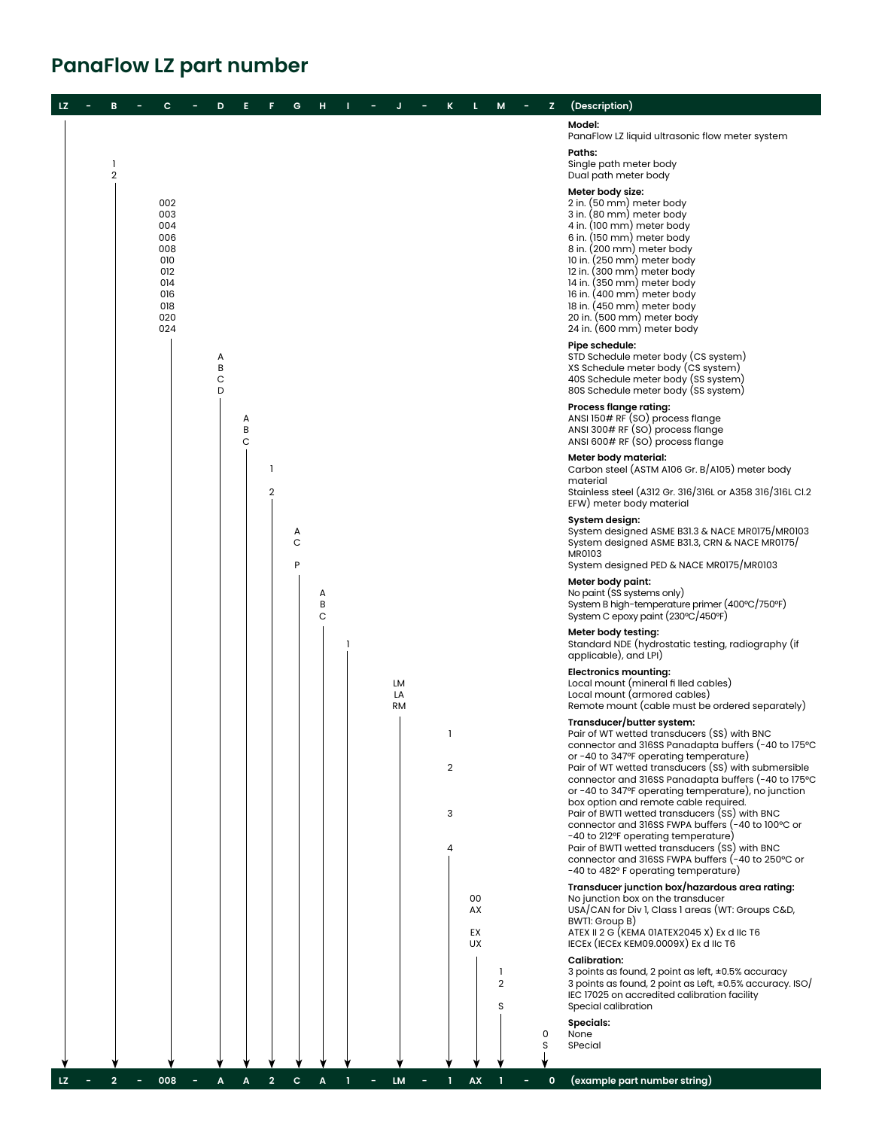## **PanaFlow LZ part number**

| LZ. | в                   | с                                                                                | D                |             |                         | G           | н           |  |                       |                                |                      | M                         | z      | (Description)                                                                                                                                                                                                                                                                                                                                                                                                                                                                                                                                                                                                                                                                      |
|-----|---------------------|----------------------------------------------------------------------------------|------------------|-------------|-------------------------|-------------|-------------|--|-----------------------|--------------------------------|----------------------|---------------------------|--------|------------------------------------------------------------------------------------------------------------------------------------------------------------------------------------------------------------------------------------------------------------------------------------------------------------------------------------------------------------------------------------------------------------------------------------------------------------------------------------------------------------------------------------------------------------------------------------------------------------------------------------------------------------------------------------|
|     |                     |                                                                                  |                  |             |                         |             |             |  |                       |                                |                      |                           |        | Model:<br>PanaFlow LZ liquid ultrasonic flow meter system                                                                                                                                                                                                                                                                                                                                                                                                                                                                                                                                                                                                                          |
|     | ı<br>$\overline{2}$ |                                                                                  |                  |             |                         |             |             |  |                       |                                |                      |                           |        | Paths:<br>Single path meter body<br>Dual path meter body                                                                                                                                                                                                                                                                                                                                                                                                                                                                                                                                                                                                                           |
|     |                     | 002<br>003<br>004<br>006<br>008<br>010<br>012<br>014<br>016<br>018<br>020<br>024 |                  |             |                         |             |             |  |                       |                                |                      |                           |        | Meter body size:<br>2 in. (50 mm) meter body<br>3 in. (80 mm) meter body<br>4 in. (100 mm) meter body<br>6 in. (150 mm) meter body<br>8 in. (200 mm) meter body<br>10 in. (250 mm) meter body<br>12 in. (300 mm) meter body<br>14 in. (350 mm) meter body<br>16 in. (400 mm) meter body<br>18 in. (450 mm) meter body<br>20 in. (500 mm) meter body<br>24 in. (600 mm) meter body                                                                                                                                                                                                                                                                                                  |
|     |                     |                                                                                  | А<br>B<br>C<br>D |             |                         |             |             |  |                       |                                |                      |                           |        | Pipe schedule:<br>STD Schedule meter body (CS system)<br>XS Schedule meter body (CS system)<br>40S Schedule meter body (SS system)<br>80S Schedule meter body (SS system)                                                                                                                                                                                                                                                                                                                                                                                                                                                                                                          |
|     |                     |                                                                                  |                  | А<br>B<br>C |                         |             |             |  |                       |                                |                      |                           |        | <b>Process flange rating:</b><br>ANSI 150# RF (SO) process flange<br>ANSI 300# RF (SO) process flange<br>ANSI 600# RF (SO) process flange                                                                                                                                                                                                                                                                                                                                                                                                                                                                                                                                          |
|     |                     |                                                                                  |                  |             | -1<br>$\overline{2}$    |             |             |  |                       |                                |                      |                           |        | Meter body material:<br>Carbon steel (ASTM A106 Gr. B/A105) meter body<br>material<br>Stainless steel (A312 Gr. 316/316L or A358 316/316L Cl.2<br>EFW) meter body material                                                                                                                                                                                                                                                                                                                                                                                                                                                                                                         |
|     |                     |                                                                                  |                  |             |                         | А<br>C<br>P |             |  |                       |                                |                      |                           |        | System design:<br>System designed ASME B31.3 & NACE MR0175/MR0103<br>System designed ASME B31.3, CRN & NACE MR0175/<br>MR0103<br>System designed PED & NACE MR0175/MR0103                                                                                                                                                                                                                                                                                                                                                                                                                                                                                                          |
|     |                     |                                                                                  |                  |             |                         |             | A<br>B<br>C |  |                       |                                |                      |                           |        | Meter body paint:<br>No paint (SS systems only)<br>System B high-temperature primer (400°C/750°F)<br>System C epoxy paint (230°C/450°F)                                                                                                                                                                                                                                                                                                                                                                                                                                                                                                                                            |
|     |                     |                                                                                  |                  |             |                         |             |             |  |                       |                                |                      |                           |        | Meter body testing:<br>Standard NDE (hydrostatic testing, radiography (if<br>applicable), and LPI)                                                                                                                                                                                                                                                                                                                                                                                                                                                                                                                                                                                 |
|     |                     |                                                                                  |                  |             |                         |             |             |  | LM<br>LA<br><b>RM</b> |                                |                      |                           |        | <b>Electronics mounting:</b><br>Local mount (mineral fi lled cables)<br>Local mount (armored cables)<br>Remote mount (cable must be ordered separately)                                                                                                                                                                                                                                                                                                                                                                                                                                                                                                                            |
|     |                     |                                                                                  |                  |             |                         |             |             |  |                       | -1<br>$\overline{2}$<br>3<br>Δ |                      |                           |        | Transducer/butter system:<br>Pair of WT wetted transducers (SS) with BNC<br>connector and 316SS Panadapta buffers (-40 to 175°C<br>or -40 to 347°F operating temperature)<br>Pair of WT wetted transducers (SS) with submersible<br>connector and 316SS Panadapta buffers (-40 to 175°C<br>or -40 to 347°F operating temperature), no junction<br>box option and remote cable required.<br>Pair of BWTI wetted transducers (SS) with BNC<br>connector and 316SS FWPA buffers (-40 to 100°C or<br>-40 to 212°F operating temperature)<br>Pair of BWTI wetted transducers (SS) with BNC<br>connector and 316SS FWPA buffers (-40 to 250°C or<br>-40 to 482° F operating temperature) |
|     |                     |                                                                                  |                  |             |                         |             |             |  |                       |                                | 00<br>AX<br>EX<br>UX |                           |        | Transducer junction box/hazardous area rating:<br>No junction box on the transducer<br>USA/CAN for Div 1, Class 1 areas (WT: Groups C&D,<br>BWTI: Group B)<br>ATEX II 2 G (KEMA 01ATEX2045 X) Ex d IIC T6<br>IECEX (IECEX KEM09.0009X) Ex d IIc T6                                                                                                                                                                                                                                                                                                                                                                                                                                 |
|     |                     |                                                                                  |                  |             |                         |             |             |  |                       |                                |                      | -1<br>$\overline{2}$<br>S |        | <b>Calibration:</b><br>3 points as found, 2 point as left, ±0.5% accuracy<br>3 points as found, 2 point as Left, ±0.5% accuracy. ISO/<br>IEC 17025 on accredited calibration facility<br>Special calibration                                                                                                                                                                                                                                                                                                                                                                                                                                                                       |
|     |                     |                                                                                  |                  |             |                         |             |             |  |                       |                                |                      |                           | 0<br>S | <b>Specials:</b><br>None<br>SPecial                                                                                                                                                                                                                                                                                                                                                                                                                                                                                                                                                                                                                                                |
| LZ. |                     | 008                                                                              | A                | A           | $\overline{\mathbf{c}}$ | c           | A           |  | LM                    |                                | AX                   |                           | 0      | (example part number string)                                                                                                                                                                                                                                                                                                                                                                                                                                                                                                                                                                                                                                                       |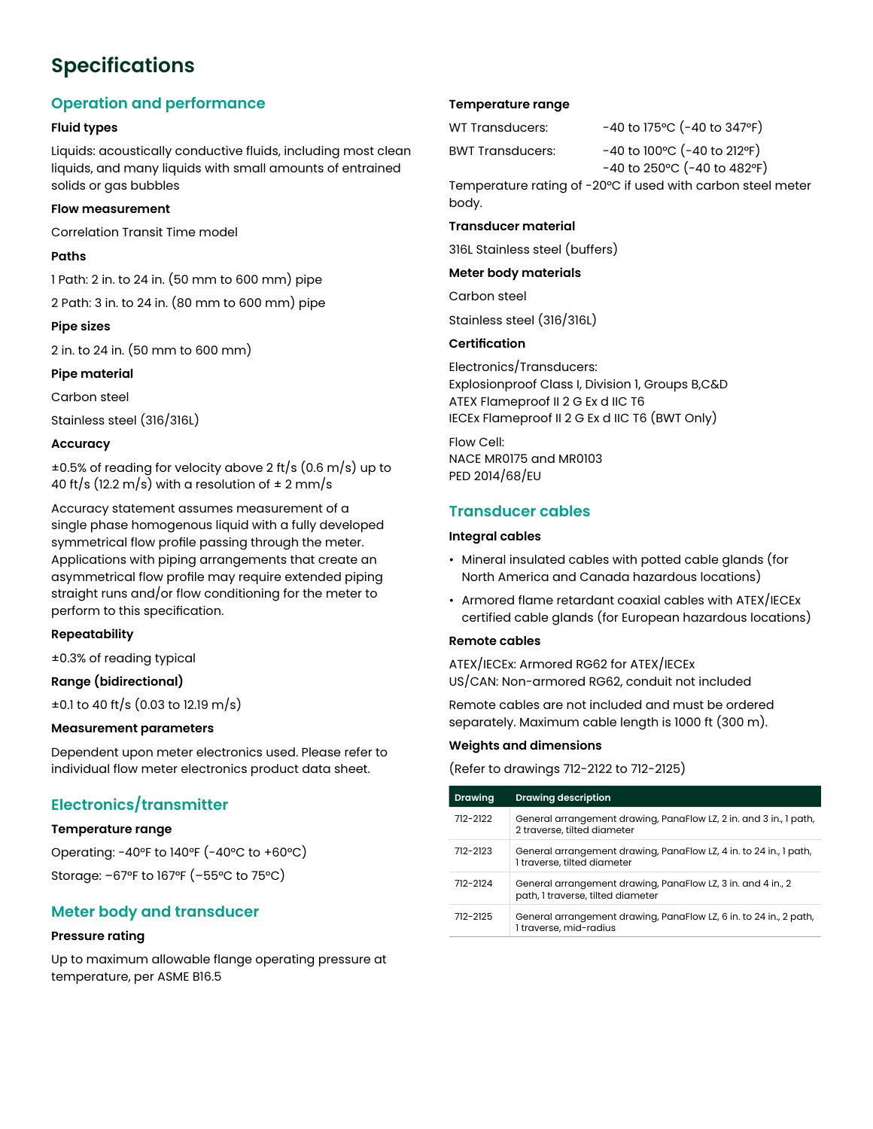## **Specifications**

#### **Operation and performance**

#### **Fluid types**

Liquids: acoustically conductive fluids, including most clean liquids, and many liquids with small amounts of entrained solids or gas bubbles

#### **Flow measurement**

Correlation Transit Time model

#### **Paths**

1 Path: 2 in. to 24 in. (50 mm to 600 mm) pipe

2 Path: 3 in. to 24 in. (80 mm to 600 mm) pipe

#### **Pipe sizes**

2 in. to 24 in. (50 mm to 600 mm)

#### **Pipe material**

Carbon steel

Stainless steel (316/316L)

#### **Accuracy**

±0.5% of reading for velocity above 2 ft/s (0.6 m/s) up to 40 ft/s (12.2 m/s) with a resolution of  $\pm$  2 mm/s

Accuracy statement assumes measurement of a single phase homogenous liquid with a fully developed symmetrical flow profile passing through the meter. Applications with piping arrangements that create an asymmetrical flow profile may require extended piping straight runs and/or flow conditioning for the meter to perform to this specification.

#### **Repeatability**

±0.3% of reading typical

#### **Range (bidirectional)**

±0.1 to 40 ft/s (0.03 to 12.19 m/s)

#### **Measurement parameters**

Dependent upon meter electronics used. Please refer to individual flow meter electronics product data sheet.

#### **Electronics/transmitter**

#### **Temperature range**

Operating: -40°F to 140°F (-40°C to +60°C) Storage: –67°F to 167°F (–55°C to 75°C)

#### **Meter body and transducer**

#### **Pressure rating**

Up to maximum allowable flange operating pressure at temperature, per ASME B16.5

#### **Temperature range**

WT Transducers: -40 to 175°C (-40 to 347°F)

BWT Transducers: -40 to 100°C (-40 to 212°F)

 $-40$  to 250 $^{\circ}$ C ( $-40$  to 482 $^{\circ}$ F)

Temperature rating of -20°C if used with carbon steel meter body.

#### **Transducer material**

316L Stainless steel (buffers)

#### **Meter body materials**

Carbon steel

Stainless steel (316/316L)

#### **Certification**

Electronics/Transducers: Explosionproof Class I, Division 1, Groups B,C&D ATEX Flameproof II 2 G Ex d IIC T6 IECEx Flameproof II 2 G Ex d IIC T6 (BWT Only)

Flow Cell: NACE MR0175 and MR0103 PED 2014/68/EU

#### **Transducer cables**

#### **Integral cables**

- Mineral insulated cables with potted cable glands (for North America and Canada hazardous locations)
- Armored flame retardant coaxial cables with ATEX/IECEx certified cable glands (for European hazardous locations)

#### **Remote cables**

ATEX/IECEx: Armored RG62 for ATEX/IECEx US/CAN: Non-armored RG62, conduit not included

Remote cables are not included and must be ordered separately. Maximum cable length is 1000 ft (300 m).

#### **Weights and dimensions**

(Refer to drawings 712-2122 to 712-2125)

| <b>Drawing</b> | <b>Drawing description</b>                                                                        |
|----------------|---------------------------------------------------------------------------------------------------|
| 712-2122       | General arrangement drawing, PanaFlow LZ, 2 in. and 3 in., 1 path,<br>2 traverse, tilted diameter |
| 712-2123       | General arrangement drawing, PanaFlow LZ, 4 in. to 24 in., 1 path,<br>I traverse, tilted diameter |
| 712-2124       | General arrangement drawing, PanaFlow LZ, 3 in. and 4 in., 2<br>path, I traverse, tilted diameter |
| 712-2125       | General arrangement drawing, PanaFlow LZ, 6 in. to 24 in., 2 path,<br>1 traverse, mid-radius      |